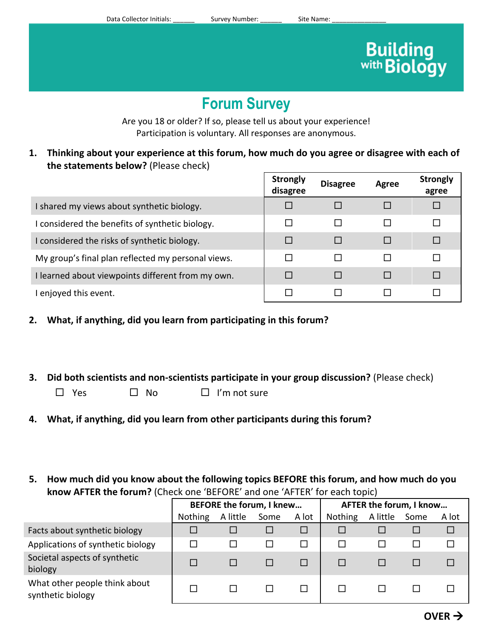# **Building**<br>with **Biology**

# **Forum Survey**

Are you 18 or older? If so, please tell us about your experience! Participation is voluntary. All responses are anonymous.

**1. Thinking about your experience at this forum, how much do you agree or disagree with each of the statements below?** (Please check)

|                                                    | <b>Strongly</b><br>disagree | <b>Disagree</b> | <b>Agree</b> | <b>Strongly</b><br>agree |
|----------------------------------------------------|-----------------------------|-----------------|--------------|--------------------------|
| I shared my views about synthetic biology.         |                             |                 |              |                          |
| I considered the benefits of synthetic biology.    |                             |                 |              |                          |
| I considered the risks of synthetic biology.       | г                           |                 |              |                          |
| My group's final plan reflected my personal views. |                             |                 |              |                          |
| I learned about viewpoints different from my own.  |                             |                 |              |                          |
| I enjoyed this event.                              |                             |                 |              |                          |

- **2. What, if anything, did you learn from participating in this forum?**
- **3. Did both scientists and non-scientists participate in your group discussion?** (Please check)
	- $\Box$  Yes  $\Box$  No  $\Box$  I'm not sure
- **4. What, if anything, did you learn from other participants during this forum?**
- **5. How much did you know about the following topics BEFORE this forum, and how much do you know AFTER the forum?** (Check one 'BEFORE' and one 'AFTER' for each topic)

|                                                    | BEFORE the forum, I knew |          |      | AFTER the forum, I know |                |          |      |       |
|----------------------------------------------------|--------------------------|----------|------|-------------------------|----------------|----------|------|-------|
|                                                    | <b>Nothing</b>           | A little | Some | A lot                   | <b>Nothing</b> | A little | Some | A lot |
| Facts about synthetic biology                      |                          |          |      |                         |                |          |      | П     |
| Applications of synthetic biology                  |                          |          |      |                         |                |          |      |       |
| Societal aspects of synthetic<br>biology           |                          |          |      |                         |                |          |      |       |
| What other people think about<br>synthetic biology |                          |          |      |                         |                |          |      |       |